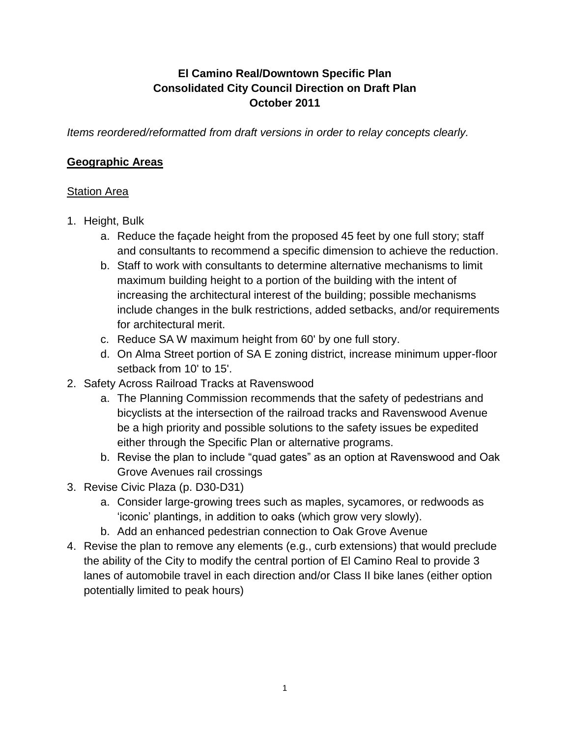## **El Camino Real/Downtown Specific Plan Consolidated City Council Direction on Draft Plan October 2011**

*Items reordered/reformatted from draft versions in order to relay concepts clearly.*

#### **Geographic Areas**

#### Station Area

- 1. Height, Bulk
	- a. Reduce the façade height from the proposed 45 feet by one full story; staff and consultants to recommend a specific dimension to achieve the reduction.
	- b. Staff to work with consultants to determine alternative mechanisms to limit maximum building height to a portion of the building with the intent of increasing the architectural interest of the building; possible mechanisms include changes in the bulk restrictions, added setbacks, and/or requirements for architectural merit.
	- c. Reduce SA W maximum height from 60' by one full story.
	- d. On Alma Street portion of SA E zoning district, increase minimum upper-floor setback from 10' to 15'.
- 2. Safety Across Railroad Tracks at Ravenswood
	- a. The Planning Commission recommends that the safety of pedestrians and bicyclists at the intersection of the railroad tracks and Ravenswood Avenue be a high priority and possible solutions to the safety issues be expedited either through the Specific Plan or alternative programs.
	- b. Revise the plan to include "quad gates" as an option at Ravenswood and Oak Grove Avenues rail crossings
- 3. Revise Civic Plaza (p. D30-D31)
	- a. Consider large-growing trees such as maples, sycamores, or redwoods as 'iconic' plantings, in addition to oaks (which grow very slowly).
	- b. Add an enhanced pedestrian connection to Oak Grove Avenue
- 4. Revise the plan to remove any elements (e.g., curb extensions) that would preclude the ability of the City to modify the central portion of El Camino Real to provide 3 lanes of automobile travel in each direction and/or Class II bike lanes (either option potentially limited to peak hours)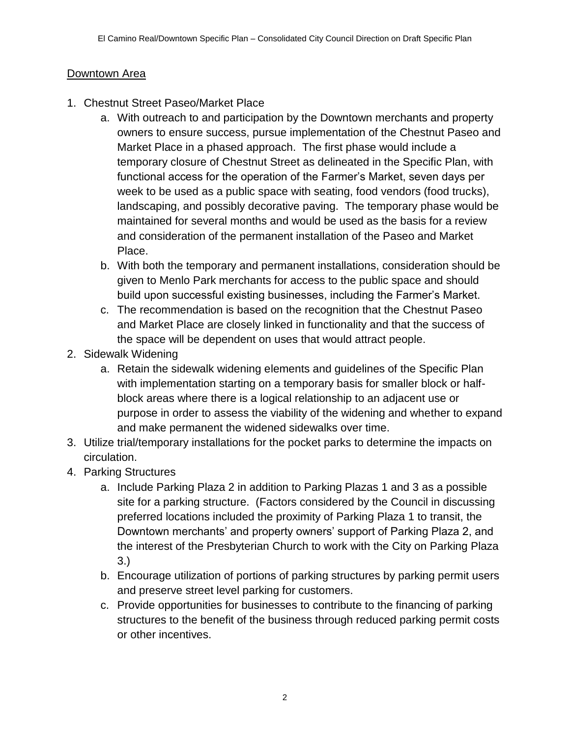### Downtown Area

- 1. Chestnut Street Paseo/Market Place
	- a. With outreach to and participation by the Downtown merchants and property owners to ensure success, pursue implementation of the Chestnut Paseo and Market Place in a phased approach. The first phase would include a temporary closure of Chestnut Street as delineated in the Specific Plan, with functional access for the operation of the Farmer"s Market, seven days per week to be used as a public space with seating, food vendors (food trucks), landscaping, and possibly decorative paving. The temporary phase would be maintained for several months and would be used as the basis for a review and consideration of the permanent installation of the Paseo and Market Place.
	- b. With both the temporary and permanent installations, consideration should be given to Menlo Park merchants for access to the public space and should build upon successful existing businesses, including the Farmer"s Market.
	- c. The recommendation is based on the recognition that the Chestnut Paseo and Market Place are closely linked in functionality and that the success of the space will be dependent on uses that would attract people.
- 2. Sidewalk Widening
	- a. Retain the sidewalk widening elements and guidelines of the Specific Plan with implementation starting on a temporary basis for smaller block or halfblock areas where there is a logical relationship to an adjacent use or purpose in order to assess the viability of the widening and whether to expand and make permanent the widened sidewalks over time.
- 3. Utilize trial/temporary installations for the pocket parks to determine the impacts on circulation.
- 4. Parking Structures
	- a. Include Parking Plaza 2 in addition to Parking Plazas 1 and 3 as a possible site for a parking structure. (Factors considered by the Council in discussing preferred locations included the proximity of Parking Plaza 1 to transit, the Downtown merchants' and property owners' support of Parking Plaza 2, and the interest of the Presbyterian Church to work with the City on Parking Plaza 3.)
	- b. Encourage utilization of portions of parking structures by parking permit users and preserve street level parking for customers.
	- c. Provide opportunities for businesses to contribute to the financing of parking structures to the benefit of the business through reduced parking permit costs or other incentives.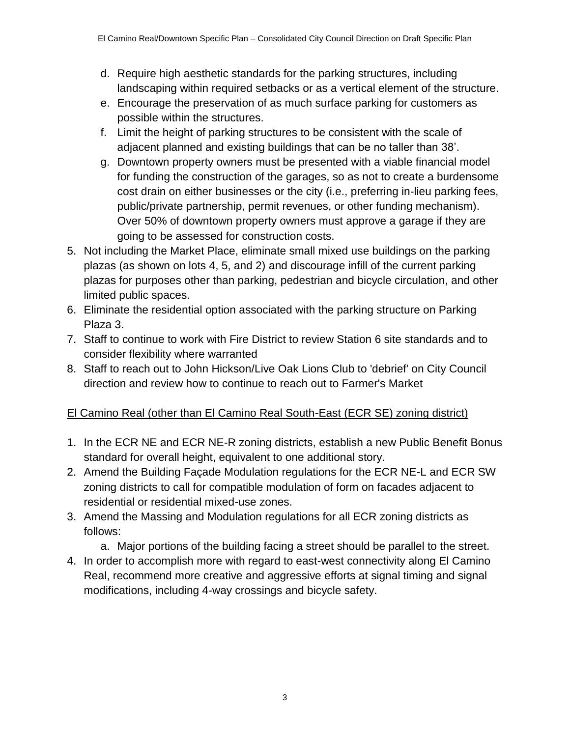- d. Require high aesthetic standards for the parking structures, including landscaping within required setbacks or as a vertical element of the structure.
- e. Encourage the preservation of as much surface parking for customers as possible within the structures.
- f. Limit the height of parking structures to be consistent with the scale of adjacent planned and existing buildings that can be no taller than 38".
- g. Downtown property owners must be presented with a viable financial model for funding the construction of the garages, so as not to create a burdensome cost drain on either businesses or the city (i.e., preferring in-lieu parking fees, public/private partnership, permit revenues, or other funding mechanism). Over 50% of downtown property owners must approve a garage if they are going to be assessed for construction costs.
- 5. Not including the Market Place, eliminate small mixed use buildings on the parking plazas (as shown on lots 4, 5, and 2) and discourage infill of the current parking plazas for purposes other than parking, pedestrian and bicycle circulation, and other limited public spaces.
- 6. Eliminate the residential option associated with the parking structure on Parking Plaza 3.
- 7. Staff to continue to work with Fire District to review Station 6 site standards and to consider flexibility where warranted
- 8. Staff to reach out to John Hickson/Live Oak Lions Club to 'debrief' on City Council direction and review how to continue to reach out to Farmer's Market

# El Camino Real (other than El Camino Real South-East (ECR SE) zoning district)

- 1. In the ECR NE and ECR NE-R zoning districts, establish a new Public Benefit Bonus standard for overall height, equivalent to one additional story.
- 2. Amend the Building Façade Modulation regulations for the ECR NE-L and ECR SW zoning districts to call for compatible modulation of form on facades adjacent to residential or residential mixed-use zones.
- 3. Amend the Massing and Modulation regulations for all ECR zoning districts as follows:
	- a. Major portions of the building facing a street should be parallel to the street.
- 4. In order to accomplish more with regard to east-west connectivity along El Camino Real, recommend more creative and aggressive efforts at signal timing and signal modifications, including 4-way crossings and bicycle safety.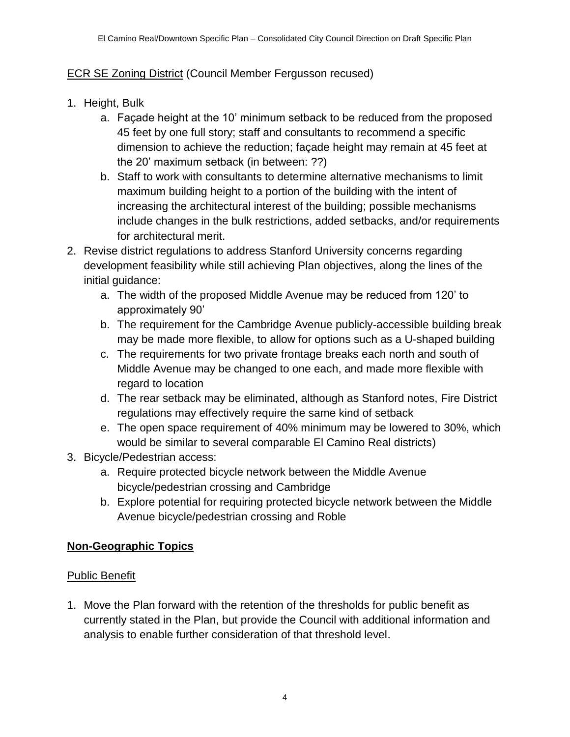### ECR SE Zoning District (Council Member Fergusson recused)

- 1. Height, Bulk
	- a. Façade height at the 10" minimum setback to be reduced from the proposed 45 feet by one full story; staff and consultants to recommend a specific dimension to achieve the reduction; façade height may remain at 45 feet at the 20" maximum setback (in between: ??)
	- b. Staff to work with consultants to determine alternative mechanisms to limit maximum building height to a portion of the building with the intent of increasing the architectural interest of the building; possible mechanisms include changes in the bulk restrictions, added setbacks, and/or requirements for architectural merit.
- 2. Revise district regulations to address Stanford University concerns regarding development feasibility while still achieving Plan objectives, along the lines of the initial guidance:
	- a. The width of the proposed Middle Avenue may be reduced from 120" to approximately 90"
	- b. The requirement for the Cambridge Avenue publicly-accessible building break may be made more flexible, to allow for options such as a U-shaped building
	- c. The requirements for two private frontage breaks each north and south of Middle Avenue may be changed to one each, and made more flexible with regard to location
	- d. The rear setback may be eliminated, although as Stanford notes, Fire District regulations may effectively require the same kind of setback
	- e. The open space requirement of 40% minimum may be lowered to 30%, which would be similar to several comparable El Camino Real districts)
- 3. Bicycle/Pedestrian access:
	- a. Require protected bicycle network between the Middle Avenue bicycle/pedestrian crossing and Cambridge
	- b. Explore potential for requiring protected bicycle network between the Middle Avenue bicycle/pedestrian crossing and Roble

### **Non-Geographic Topics**

#### Public Benefit

1. Move the Plan forward with the retention of the thresholds for public benefit as currently stated in the Plan, but provide the Council with additional information and analysis to enable further consideration of that threshold level.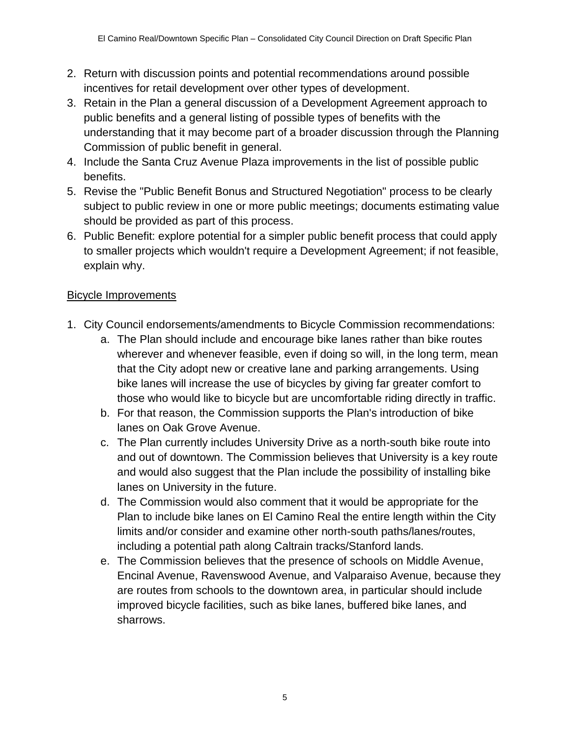- 2. Return with discussion points and potential recommendations around possible incentives for retail development over other types of development.
- 3. Retain in the Plan a general discussion of a Development Agreement approach to public benefits and a general listing of possible types of benefits with the understanding that it may become part of a broader discussion through the Planning Commission of public benefit in general.
- 4. Include the Santa Cruz Avenue Plaza improvements in the list of possible public benefits.
- 5. Revise the "Public Benefit Bonus and Structured Negotiation" process to be clearly subject to public review in one or more public meetings; documents estimating value should be provided as part of this process.
- 6. Public Benefit: explore potential for a simpler public benefit process that could apply to smaller projects which wouldn't require a Development Agreement; if not feasible, explain why.

### Bicycle Improvements

- 1. City Council endorsements/amendments to Bicycle Commission recommendations:
	- a. The Plan should include and encourage bike lanes rather than bike routes wherever and whenever feasible, even if doing so will, in the long term, mean that the City adopt new or creative lane and parking arrangements. Using bike lanes will increase the use of bicycles by giving far greater comfort to those who would like to bicycle but are uncomfortable riding directly in traffic.
	- b. For that reason, the Commission supports the Plan's introduction of bike lanes on Oak Grove Avenue.
	- c. The Plan currently includes University Drive as a north-south bike route into and out of downtown. The Commission believes that University is a key route and would also suggest that the Plan include the possibility of installing bike lanes on University in the future.
	- d. The Commission would also comment that it would be appropriate for the Plan to include bike lanes on El Camino Real the entire length within the City limits and/or consider and examine other north-south paths/lanes/routes, including a potential path along Caltrain tracks/Stanford lands.
	- e. The Commission believes that the presence of schools on Middle Avenue, Encinal Avenue, Ravenswood Avenue, and Valparaiso Avenue, because they are routes from schools to the downtown area, in particular should include improved bicycle facilities, such as bike lanes, buffered bike lanes, and sharrows.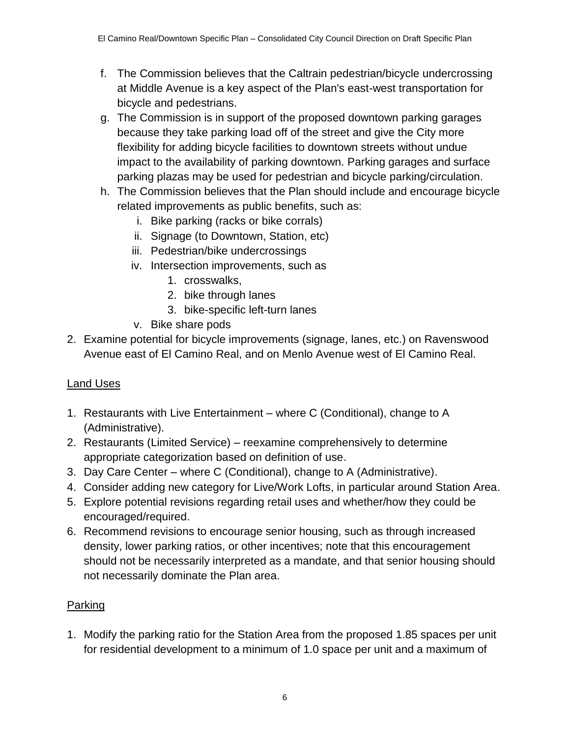- f. The Commission believes that the Caltrain pedestrian/bicycle undercrossing at Middle Avenue is a key aspect of the Plan's east-west transportation for bicycle and pedestrians.
- g. The Commission is in support of the proposed downtown parking garages because they take parking load off of the street and give the City more flexibility for adding bicycle facilities to downtown streets without undue impact to the availability of parking downtown. Parking garages and surface parking plazas may be used for pedestrian and bicycle parking/circulation.
- h. The Commission believes that the Plan should include and encourage bicycle related improvements as public benefits, such as:
	- i. Bike parking (racks or bike corrals)
	- ii. Signage (to Downtown, Station, etc)
	- iii. Pedestrian/bike undercrossings
	- iv. Intersection improvements, such as
		- 1. crosswalks,
		- 2. bike through lanes
		- 3. bike-specific left-turn lanes
	- v. Bike share pods
- 2. Examine potential for bicycle improvements (signage, lanes, etc.) on Ravenswood Avenue east of El Camino Real, and on Menlo Avenue west of El Camino Real.

# Land Uses

- 1. Restaurants with Live Entertainment where C (Conditional), change to A (Administrative).
- 2. Restaurants (Limited Service) reexamine comprehensively to determine appropriate categorization based on definition of use.
- 3. Day Care Center where C (Conditional), change to A (Administrative).
- 4. Consider adding new category for Live/Work Lofts, in particular around Station Area.
- 5. Explore potential revisions regarding retail uses and whether/how they could be encouraged/required.
- 6. Recommend revisions to encourage senior housing, such as through increased density, lower parking ratios, or other incentives; note that this encouragement should not be necessarily interpreted as a mandate, and that senior housing should not necessarily dominate the Plan area.

# Parking

1. Modify the parking ratio for the Station Area from the proposed 1.85 spaces per unit for residential development to a minimum of 1.0 space per unit and a maximum of